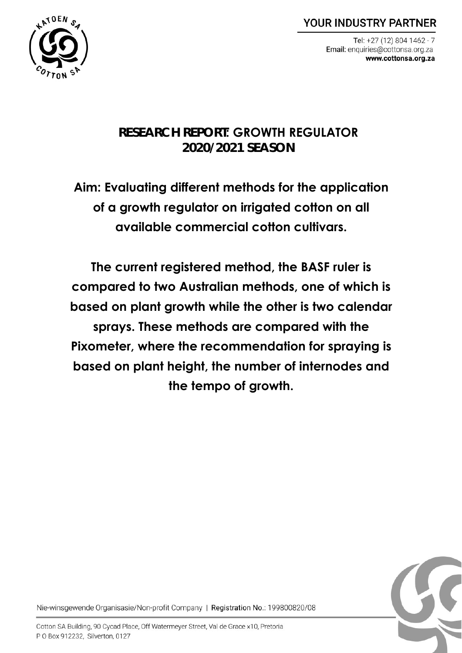**YOUR INDUSTRY PARTNER** 

Tel: +27 (12) 804 1462 - 7 Email: enquiries@cottonsa.org.za www.cottonsa.org.za



# **RESEARCH REPORT: GROWTH REGULATOR 2020/2021 SEASON**

**Aim: Evaluating different methods for the application of a growth regulator on irrigated cotton on all available commercial cotton cultivars.**

**The current registered method, the BASF ruler is compared to two Australian methods, one of which is based on plant growth while the other is two calendar sprays. These methods are compared with the Pixometer, where the recommendation for spraying is based on plant height, the number of internodes and the tempo of growth.**



Nie-winsgewende Organisasie/Non-profit Company | Registration No.: 199800820/08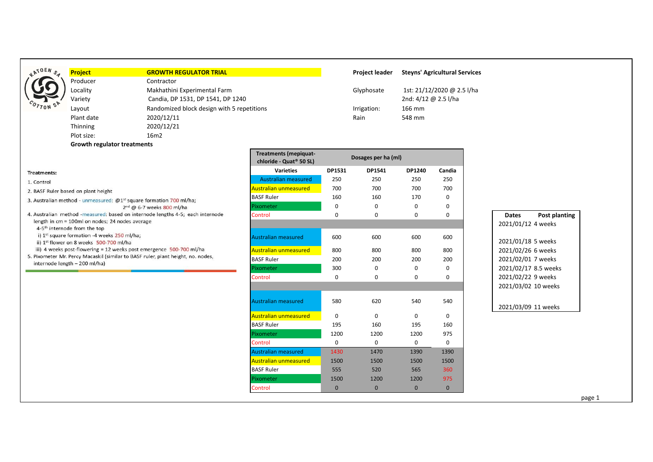| <b>OEN</b><br>$\mathbf{r}^{\prime}$<br>$s_{\prec}$ |  |
|----------------------------------------------------|--|
|                                                    |  |
|                                                    |  |
| $c_o,$<br>ċ<br>$\tau$ on                           |  |

Treatments: 1. Control

2. BASF Ruler based on plant height

4-5<sup>th</sup> internode from the top

internode length - 200 ml/ha)

3. Australian method - unmeasured: @1<sup>st</sup> square formation 700 ml/ha;

length in cm = 100ml on nodes; 24 nodes average

i) 1st square formation -4 weeks 250 ml/ha; ii) 1st flower on 8 weeks 500-700 ml/ha

4. Australian method -measured: based on internode lengths 4-5; each internode

iii) 4 weeks post-flowering = 12 weeks post emergence 500-700 ml/ha 5. Pixometer Mr. Percy Macaskil (similar to BASF ruler, plant height, no. nodes,

2nd @ 6-7 weeks 800 ml/ha

Producer Contractor

Variety Candia, DP 1531, DP 1541, DP 1240 2nd: 4/12 @ 2.5 l/ha Layout **Randomized block design with 5 repetitions Interval and American** extends the Randomized block design with 5 repetitions and and are limited as a line of the Mm Plant date 2020/12/11 Rain 548 mm Thinning 2020/12/21 Plot size: 16m2 **Growth regulator treatments**

# **Project GROWTH REGULATOR TRIAL Project leader Steyns' Agricultural Services** Locality Makhathini Experimental Farm Glyphosate 1st: 21/12/2020 @ 2.5 l/ha

| <b>Treatments (mepiquat-</b><br>chloride - Quat <sup>®</sup> 50 SL) |             | Dosages per ha (ml) |              |              |                                      |
|---------------------------------------------------------------------|-------------|---------------------|--------------|--------------|--------------------------------------|
| <b>Varieties</b>                                                    | DP1531      | DP1541              | DP1240       | Candia       |                                      |
| <b>Australian measured</b>                                          | 250         | 250                 | 250          | 250          |                                      |
| <b>Australian unmeasured</b>                                        | 700         | 700                 | 700          | 700          |                                      |
| <b>BASF Ruler</b>                                                   | 160         | 160                 | 170          | $\Omega$     |                                      |
| Pixometer                                                           | $\mathbf 0$ | $\mathbf 0$         | 0            | $\Omega$     |                                      |
| Control                                                             | 0           | $\mathbf 0$         | 0            | $\Omega$     | <b>Dates</b><br><b>Post planting</b> |
|                                                                     |             |                     |              |              | 2021/01/12 4 weeks                   |
| <b>Australian measured</b>                                          | 600         | 600                 | 600          | 600          | 2021/01/18 5 weeks                   |
| <b>Australian unmeasured</b>                                        | 800         | 800                 | 800          | 800          | 2021/02/26 6 weeks                   |
| <b>BASF Ruler</b>                                                   | 200         | 200                 | 200          | 200          | 2021/02/01 7 weeks                   |
| Pixometer                                                           | 300         | $\mathbf 0$         | 0            | $\mathbf 0$  | 2021/02/17 8.5 weeks                 |
| Control                                                             | 0           | $\Omega$            | 0            | 0            | 2021/02/22 9 weeks                   |
|                                                                     |             |                     |              |              | 2021/03/02 10 weeks                  |
| <b>Australian measured</b>                                          | 580         | 620                 | 540          | 540          | 2021/03/09 11 weeks                  |
| <b>Australian unmeasured</b>                                        | $\Omega$    | $\Omega$            | $\Omega$     | $\Omega$     |                                      |
| <b>BASF Ruler</b>                                                   | 195         | 160                 | 195          | 160          |                                      |
| Pixometer                                                           | 1200        | 1200                | 1200         | 975          |                                      |
| Control                                                             | $\Omega$    | $\mathbf 0$         | $\Omega$     | $\Omega$     |                                      |
| <b>Australian measured</b>                                          | 1430        | 1470                | 1390         | 1390         |                                      |
| <b>Australian unmeasured</b>                                        | 1500        | 1500                | 1500         | 1500         |                                      |
| <b>BASF Ruler</b>                                                   | 555         | 520                 | 565          | 360          |                                      |
| Pixometer                                                           | 1500        | 1200                | 1200         | 975          |                                      |
| Control                                                             | $\mathbf 0$ | $\mathbf{0}$        | $\mathbf{0}$ | $\mathbf{0}$ |                                      |

# 2021/01/12 4 weeks

#### 2021/03/09 11 weeks

page 1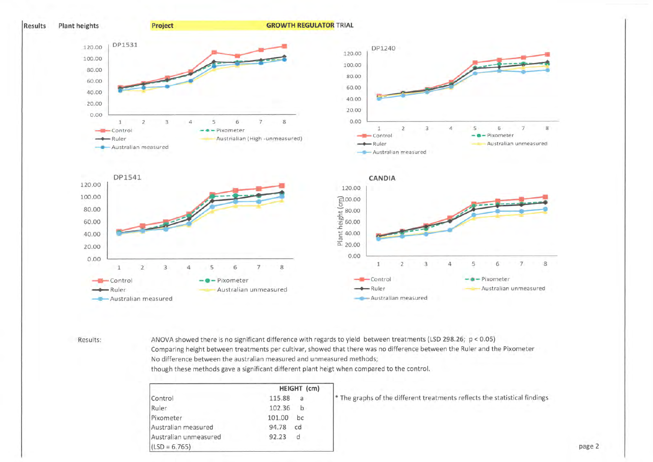

#### Results:

ANOVA showed there is no significant difference with regards to yield between treatments (LSD 298.26; p < 0.05) Comparing height between treatments per cultivar, showed that there was no difference between the Ruler and the Pixometer No difference between the australian measured and unmeasured methods;

though these methods gave a significant different plant heigt when compared to the control.

|                       | HEIGHT (cm) |    |  |
|-----------------------|-------------|----|--|
| Control               | 115.88      | a  |  |
| Ruler                 | 102.36      | h  |  |
| Pixometer             | 101.00      | bc |  |
| Australian measured   | 94.78       | cd |  |
| Australian unmeasured | 92.23       | d  |  |
| $(LSD = 6.765)$       |             |    |  |

\* The graphs of the different treatments reflects the statistical findings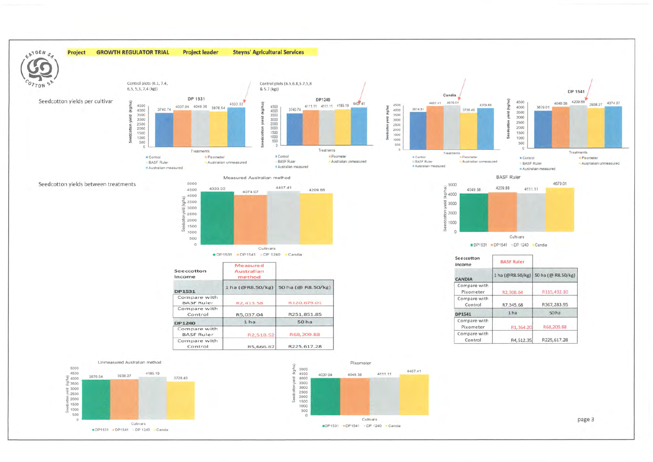

Cultivars

DP1531 . DP1541 . DP 1240 . Candia



 $\ddot{c}$ 

Cultivars

DP1531 DP1541 DP 1240 Candia

page 3